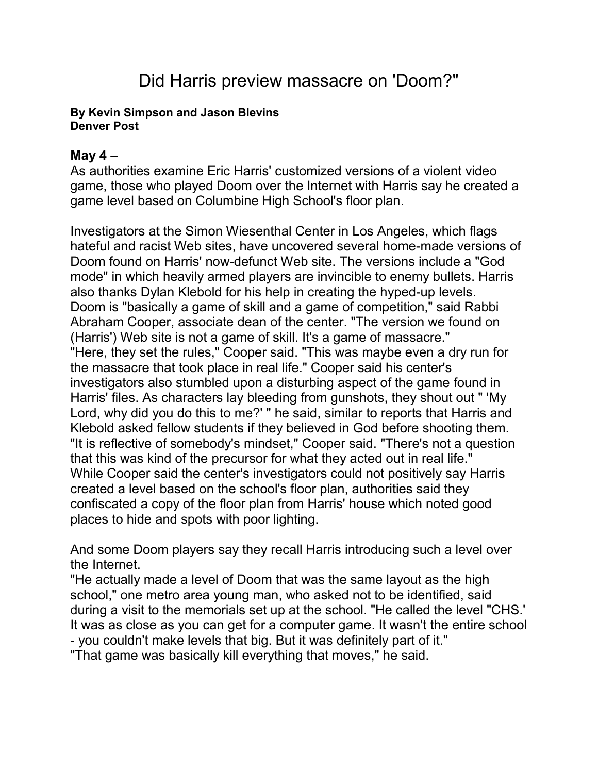## Did Harris preview massacre on 'Doom?"

## **By [Kevin Simpson and Jason Blevins](mailto:newsroom@denverpost.com) Denver Post**

## **May 4** –

As authorities examine Eric Harris' customized versions of a violent video game, those who played Doom over the Internet with Harris say he created a game level based on Columbine High School's floor plan.

Investigators at the Simon Wiesenthal Center in Los Angeles, which flags hateful and racist Web sites, have uncovered several home-made versions of Doom found on Harris' now-defunct Web site. The versions include a "God mode" in which heavily armed players are invincible to enemy bullets. Harris also thanks Dylan Klebold for his help in creating the hyped-up levels. Doom is "basically a game of skill and a game of competition," said Rabbi Abraham Cooper, associate dean of the center. "The version we found on (Harris') Web site is not a game of skill. It's a game of massacre." "Here, they set the rules," Cooper said. "This was maybe even a dry run for the massacre that took place in real life." Cooper said his center's investigators also stumbled upon a disturbing aspect of the game found in Harris' files. As characters lay bleeding from gunshots, they shout out " 'My Lord, why did you do this to me?' " he said, similar to reports that Harris and Klebold asked fellow students if they believed in God before shooting them. "It is reflective of somebody's mindset," Cooper said. "There's not a question that this was kind of the precursor for what they acted out in real life." While Cooper said the center's investigators could not positively say Harris created a level based on the school's floor plan, authorities said they confiscated a copy of the floor plan from Harris' house which noted good places to hide and spots with poor lighting.

And some Doom players say they recall Harris introducing such a level over the Internet.

"He actually made a level of Doom that was the same layout as the high school," one metro area young man, who asked not to be identified, said during a visit to the memorials set up at the school. "He called the level "CHS.' It was as close as you can get for a computer game. It wasn't the entire school - you couldn't make levels that big. But it was definitely part of it."

"That game was basically kill everything that moves," he said.